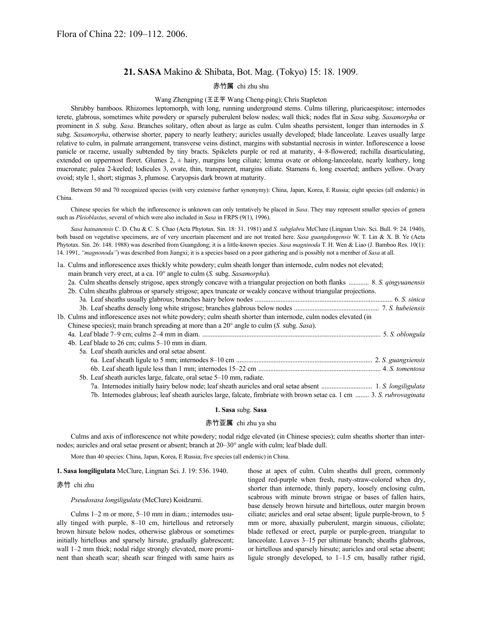# **21. SASA** Makino & Shibata, Bot. Mag. (Tokyo) 15: 18. 1909.

## 赤竹属 chi zhu shu

#### Wang Zhengping (王正平 Wang Cheng-ping); Chris Stapleton

Shrubby bamboos. Rhizomes leptomorph, with long, running underground stems. Culms tillering, pluricaespitose; internodes terete, glabrous, sometimes white powdery or sparsely puberulent below nodes; wall thick; nodes flat in *Sasa* subg. *Sasamorpha* or prominent in *S.* subg. *Sasa*. Branches solitary, often about as large as culm. Culm sheaths persistent, longer than internodes in *S.*  subg. *Sasamorpha*, otherwise shorter, papery to nearly leathery; auricles usually developed; blade lanceolate. Leaves usually large relative to culm, in palmate arrangement, transverse veins distinct, margins with substantial necrosis in winter. Inflorescence a loose panicle or raceme, usually subtended by tiny bracts. Spikelets purple or red at maturity, 4–8-flowered; rachilla disarticulating, extended on uppermost floret. Glumes  $2$ ,  $\pm$  hairy, margins long ciliate; lemma ovate or oblong-lanceolate, nearly leathery, long mucronate; palea 2-keeled; lodicules 3, ovate, thin, transparent, margins ciliate. Stamens 6, long exserted; anthers yellow. Ovary ovoid; style 1, short; stigmas 3, plumose. Caryopsis dark brown at maturity.

Between 50 and 70 recognized species (with very extensive further synonymy): China, Japan, Korea, E Russia; eight species (all endemic) in China.

Chinese species for which the inflorescence is unknown can only tentatively be placed in *Sasa*. They may represent smaller species of genera such as *Pleioblastus*, several of which were also included in *Sasa* in FRPS (9(1), 1996).

*Sasa hainanensis* C. D. Chu & C. S. Chao (Acta Phytotax. Sin. 18: 31. 1981) and *S. subglabra* McClure (Lingnan Univ. Sci. Bull. 9: 24. 1940), both based on vegetative specimens, are of very uncertain placement and are not treated here. *Sasa guangdongensis* W. T. Lin & X. B. Ye (Acta Phytotax. Sin. 26: 148. 1988) was described from Guangdong; it is a little-known species. *Sasa magninoda* T. H. Wen & Liao (J. Bamboo Res. 10(1): 14. 1991, *"magnonoda"*) was described from Jiangxi; it is a species based on a poor gathering and is possibly not a member of *Sasa* at all.

1a. Culms and inflorescence axes thickly white powdery; culm sheath longer than internode, culm nodes not elevated;

main branch very erect, at a ca. 10° angle to culm (*S.* subg. *Sasamorpha*).

| 2a. Culm sheaths densely strigose, apex strongly concave with a triangular projection on both flanks  8. S. qingyuanensis |
|---------------------------------------------------------------------------------------------------------------------------|
| 2b. Culm sheaths glabrous or sparsely strigose; apex truncate or weakly concave without triangular projections.           |

| 1b. Culms and inflorescence axes not white powdery; culm sheath shorter than internode, culm nodes elevated (in        |  |
|------------------------------------------------------------------------------------------------------------------------|--|
| Chinese species); main branch spreading at more than a $20^{\circ}$ angle to culm (S. subg. Sasa).                     |  |
|                                                                                                                        |  |
| 4b. Leaf blade to 26 cm; culms 5–10 mm in diam.                                                                        |  |
| 5a. Leaf sheath auricles and oral setae absent.                                                                        |  |
|                                                                                                                        |  |
|                                                                                                                        |  |
| 5b. Leaf sheath auricles large, falcate, oral setae 5–10 mm, radiate.                                                  |  |
|                                                                                                                        |  |
| 7b. Internodes glabrous; leaf sheath auricles large, falcate, fimbriate with brown setae ca. 1 cm  3. S. rubrovaginata |  |

#### **1. Sasa** subg. **Sasa**

#### 赤竹亚属 chi zhu ya shu

Culms and axis of inflorescence not white powdery; nodal ridge elevated (in Chinese species); culm sheaths shorter than internodes; auricles and oral setae present or absent; branch at 20–30° angle with culm; leaf blade dull.

More than 40 species: China, Japan, Korea, E Russia; five species (all endemic) in China.

**1. Sasa longiligulata** McClure, Lingnan Sci. J. 19: 536. 1940.

#### 赤竹 chi zhu

*Pseudosasa longiligulata* (McClure) Koidzumi.

Culms 1–2 m or more, 5–10 mm in diam.; internodes usually tinged with purple, 8–10 cm, hirtellous and retrorsely brown hirsute below nodes, otherwise glabrous or sometimes initially hirtellous and sparsely hirsute, gradually glabrescent; wall 1–2 mm thick; nodal ridge strongly elevated, more prominent than sheath scar; sheath scar fringed with same hairs as those at apex of culm. Culm sheaths dull green, commonly tinged red-purple when fresh, rusty-straw-colored when dry, shorter than internode, thinly papery, loosely enclosing culm, scabrous with minute brown strigae or bases of fallen hairs, base densely brown hirsute and hirtellous, outer margin brown ciliate; auricles and oral setae absent; ligule purple-brown, to 5 mm or more, abaxially puberulent, margin sinuous, ciliolate; blade reflexed or erect, purple or purple-green, triangular to lanceolate. Leaves 3–15 per ultimate branch; sheaths glabrous, or hirtellous and sparsely hirsute; auricles and oral setae absent; ligule strongly developed, to 1–1.5 cm, basally rather rigid,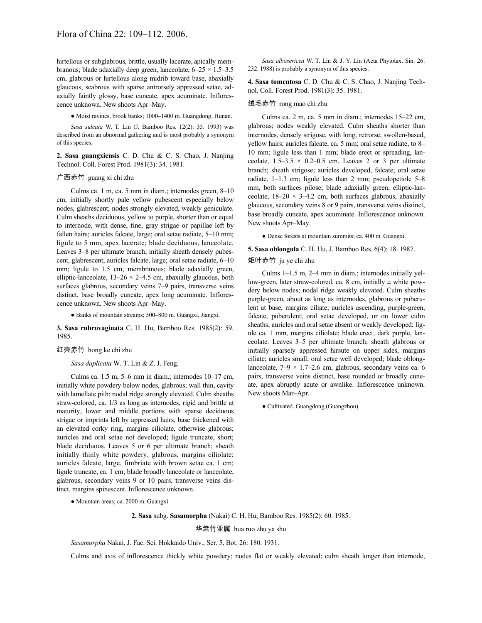hirtellous or subglabrous, brittle, usually lacerate, apically membranous; blade adaxially deep green, lanceolate,  $6-25 \times 1.5-3.5$ cm, glabrous or hirtellous along midrib toward base, abaxially glaucous, scabrous with sparse antrorsely appressed setae, adaxially faintly glossy, base cuneate, apex acuminate. Inflorescence unknown. New shoots Apr–May.

● Moist ravines, brook banks; 1000–1400 m. Guangdong, Hunan.

*Sasa sulcata* W. T. Lin (J. Bamboo Res. 12(2): 35. 1993) was described from an abnormal gathering and is most probably a synonym of this species.

**2. Sasa guangxiensis** C. D. Chu & C. S. Chao, J. Nanjing Technol. Coll. Forest Prod. 1981(3): 34. 1981.

## 广西赤竹 guang xi chi zhu

Culms ca. 1 m, ca. 5 mm in diam.; internodes green, 8–10 cm, initially shortly pale yellow pubescent especially below nodes, glabrescent; nodes strongly elevated, weakly geniculate. Culm sheaths deciduous, yellow to purple, shorter than or equal to internode, with dense, fine, gray strigae or papillae left by fallen hairs; auricles falcate, large; oral setae radiate, 5–10 mm; ligule to 5 mm, apex lacerate; blade deciduous, lanceolate. Leaves 3–8 per ultimate branch; initially sheath densely pubescent, glabrescent; auricles falcate, large; oral setae radiate, 6–10 mm; ligule to 1.5 cm, membranous; blade adaxially green, elliptic-lanceolate,  $13-26 \times 2-4.5$  cm, abaxially glaucous, both surfaces glabrous, secondary veins 7–9 pairs, transverse veins distinct, base broadly cuneate, apex long acuminate. Inflorescence unknown. New shoots Apr–May.

● Banks of mountain streams; 500–800 m. Guangxi, Jiangxi.

**3. Sasa rubrovaginata** C. H. Hu, Bamboo Res. 1985(2): 59. 1985.

#### 红壳赤竹 hong ke chi zhu

#### *Sasa duplicata* W. T. Lin & Z. J. Feng.

Culms ca. 1.5 m, 5–6 mm in diam.; internodes 10–17 cm, initially white powdery below nodes, glabrous; wall thin, cavity with lamellate pith; nodal ridge strongly elevated. Culm sheaths straw-colored, ca. 1/3 as long as internodes, rigid and brittle at maturity, lower and middle portions with sparse deciduous strigae or imprints left by appressed hairs, base thickened with an elevated corky ring, margins ciliolate, otherwise glabrous; auricles and oral setae not developed; ligule truncate, short; blade deciduous. Leaves 5 or 6 per ultimate branch; sheath initially thinly white powdery, glabrous, margins ciliolate; auricles falcate, large, fimbriate with brown setae ca. 1 cm; ligule truncate, ca. 1 cm; blade broadly lanceolate or lanceolate, glabrous, secondary veins 9 or 10 pairs, transverse veins distinct, margins spinescent. Inflorescence unknown.

● Mountain areas; ca. 2000 m. Guangxi.

**2. Sasa** subg. **Sasamorpha** (Nakai) C. H. Hu, Bamboo Res. 1985(2): 60. 1985.

华箬竹亚属 hua ruo zhu ya shu

*Sasamorpha* Nakai, J. Fac. Sci. Hokkaido Univ., Ser. 5, Bot. 26: 180. 1931.

Culms and axis of inflorescence thickly white powdery; nodes flat or weakly elevated; culm sheath longer than internode,

*Sasa albosericea* W. T. Lin & J. Y. Lin (Acta Phytotax. Sin. 26: 232. 1988) is probably a synonym of this species.

**4. Sasa tomentosa** C. D. Chu & C. S. Chao, J. Nanjing Technol. Coll. Forest Prod. 1981(3): 35. 1981.

#### 绒毛赤竹 rong mao chi zhu

Culms ca. 2 m, ca. 5 mm in diam.; internodes 15–22 cm, glabrous; nodes weakly elevated. Culm sheaths shorter than internodes, densely strigose, with long, retrorse, swollen-based, yellow hairs; auricles falcate, ca. 5 mm; oral setae radiate, to 8– 10 mm; ligule less than 1 mm; blade erect or spreading, lanceolate,  $1.5-3.5 \times 0.2-0.5$  cm. Leaves 2 or 3 per ultimate branch; sheath strigose; auricles developed, falcate; oral setae radiate, 1–1.3 cm; ligule less than 2 mm; pseudopetiole 5–8 mm, both surfaces pilose; blade adaxially green, elliptic-lanceolate,  $18-20 \times 3-4.2$  cm, both surfaces glabrous, abaxially glaucous, secondary veins 8 or 9 pairs, transverse veins distinct, base broadly cuneate, apex acuminate. Inflorescence unknown. New shoots Apr–May.

● Dense forests at mountain summits; ca. 400 m. Guangxi.

**5. Sasa oblongula** C. H. Hu, J. Bamboo Res. 6(4): 18. 1987.

#### 矩叶赤竹 ju ye chi zhu

Culms 1–1.5 m, 2–4 mm in diam.; internodes initially yellow-green, later straw-colored, ca. 8 cm, initially  $\pm$  white powdery below nodes; nodal ridge weakly elevated. Culm sheaths purple-green, about as long as internodes, glabrous or puberulent at base, margins ciliate; auricles ascending, purple-green, falcate, puberulent; oral setae developed, or on lower culm sheaths; auricles and oral setae absent or weakly developed; ligule ca. 1 mm, margins ciliolate; blade erect, dark purple, lanceolate. Leaves 3–5 per ultimate branch; sheath glabrous or initially sparsely appressed hirsute on upper sides, margins ciliate; auricles small; oral setae well developed; blade oblonglanceolate,  $7-9 \times 1.7-2.6$  cm, glabrous, secondary veins ca. 6 pairs, transverse veins distinct, base rounded or broadly cuneate, apex abruptly acute or awnlike. Inflorescence unknown. New shoots Mar–Apr.

● Cultivated. Guangdong (Guangzhou).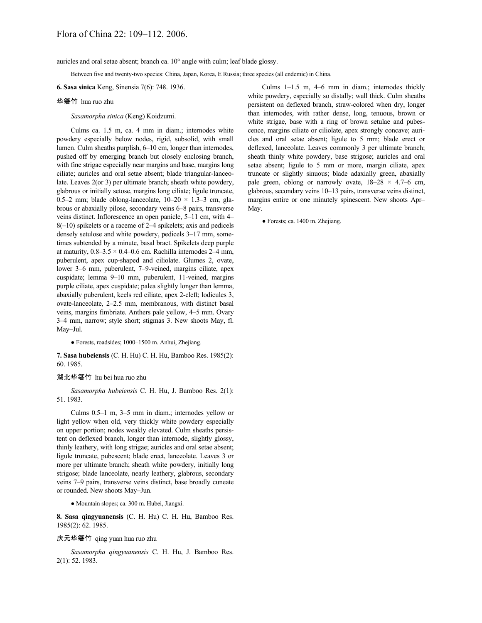auricles and oral setae absent; branch ca. 10° angle with culm; leaf blade glossy.

Between five and twenty-two species: China, Japan, Korea, E Russia; three species (all endemic) in China.

**6. Sasa sinica** Keng, Sinensia 7(6): 748. 1936.

#### 华箬竹 hua ruo zhu

*Sasamorpha sinica* (Keng) Koidzumi.

Culms ca. 1.5 m, ca. 4 mm in diam.; internodes white powdery especially below nodes, rigid, subsolid, with small lumen. Culm sheaths purplish, 6–10 cm, longer than internodes, pushed off by emerging branch but closely enclosing branch, with fine strigae especially near margins and base, margins long ciliate; auricles and oral setae absent; blade triangular-lanceolate. Leaves 2(or 3) per ultimate branch; sheath white powdery, glabrous or initially setose, margins long ciliate; ligule truncate, 0.5–2 mm; blade oblong-lanceolate,  $10-20 \times 1.3-3$  cm, glabrous or abaxially pilose, secondary veins 6–8 pairs, transverse veins distinct. Inflorescence an open panicle, 5–11 cm, with 4– 8(–10) spikelets or a raceme of 2–4 spikelets; axis and pedicels densely setulose and white powdery, pedicels 3–17 mm, sometimes subtended by a minute, basal bract. Spikelets deep purple at maturity,  $0.8-3.5 \times 0.4-0.6$  cm. Rachilla internodes 2-4 mm, puberulent, apex cup-shaped and ciliolate. Glumes 2, ovate, lower 3–6 mm, puberulent, 7–9-veined, margins ciliate, apex cuspidate; lemma 9–10 mm, puberulent, 11-veined, margins purple ciliate, apex cuspidate; palea slightly longer than lemma, abaxially puberulent, keels red ciliate, apex 2-cleft; lodicules 3, ovate-lanceolate, 2–2.5 mm, membranous, with distinct basal veins, margins fimbriate. Anthers pale yellow, 4–5 mm. Ovary 3–4 mm, narrow; style short; stigmas 3. New shoots May, fl. May–Jul.

● Forests, roadsides; 1000–1500 m. Anhui, Zhejiang.

**7. Sasa hubeiensis** (C. H. Hu) C. H. Hu, Bamboo Res. 1985(2): 60. 1985.

### 湖北华箬竹 hu bei hua ruo zhu

*Sasamorpha hubeiensis* C. H. Hu, J. Bamboo Res. 2(1): 51. 1983.

Culms 0.5–1 m, 3–5 mm in diam.; internodes yellow or light yellow when old, very thickly white powdery especially on upper portion; nodes weakly elevated. Culm sheaths persistent on deflexed branch, longer than internode, slightly glossy, thinly leathery, with long strigae; auricles and oral setae absent; ligule truncate, pubescent; blade erect, lanceolate. Leaves 3 or more per ultimate branch; sheath white powdery, initially long strigose; blade lanceolate, nearly leathery, glabrous, secondary veins 7–9 pairs, transverse veins distinct, base broadly cuneate or rounded. New shoots May–Jun.

● Mountain slopes; ca. 300 m. Hubei, Jiangxi.

**8. Sasa qingyuanensis** (C. H. Hu) C. H. Hu, Bamboo Res. 1985(2): 62. 1985.

#### 庆元华箬竹 qing yuan hua ruo zhu

*Sasamorpha qingyuanensis* C. H. Hu, J. Bamboo Res. 2(1): 52. 1983.

Culms 1–1.5 m, 4–6 mm in diam.; internodes thickly white powdery, especially so distally; wall thick. Culm sheaths persistent on deflexed branch, straw-colored when dry, longer than internodes, with rather dense, long, tenuous, brown or white strigae, base with a ring of brown setulae and pubescence, margins ciliate or ciliolate, apex strongly concave; auricles and oral setae absent; ligule to 5 mm; blade erect or deflexed, lanceolate. Leaves commonly 3 per ultimate branch; sheath thinly white powdery, base strigose; auricles and oral setae absent; ligule to 5 mm or more, margin ciliate, apex truncate or slightly sinuous; blade adaxially green, abaxially pale green, oblong or narrowly ovate,  $18-28 \times 4.7-6$  cm, glabrous, secondary veins 10–13 pairs, transverse veins distinct, margins entire or one minutely spinescent. New shoots Apr– May.

● Forests; ca. 1400 m. Zhejiang.